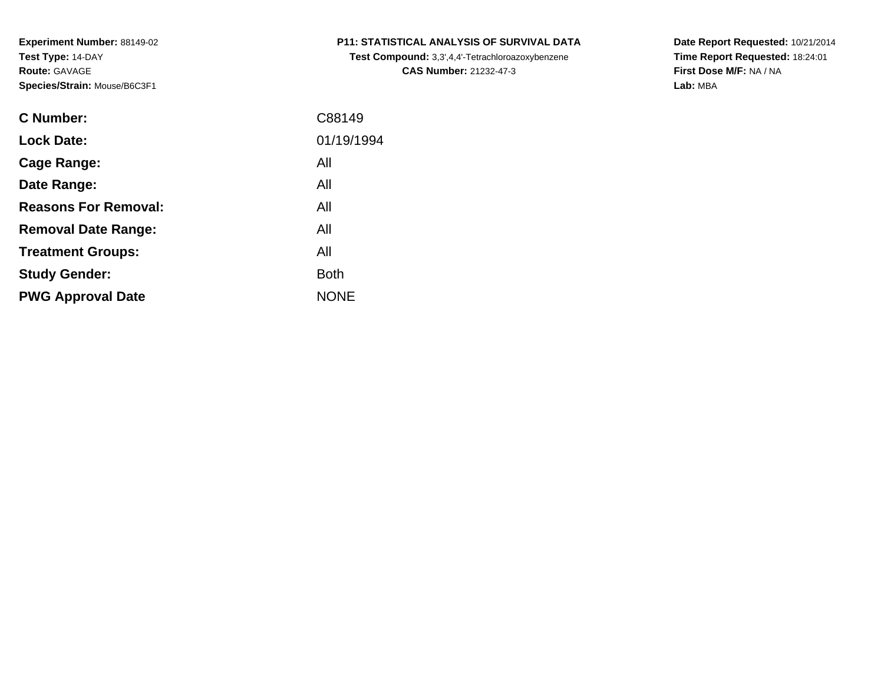| <b>C Number:</b>            | C88149      |
|-----------------------------|-------------|
| <b>Lock Date:</b>           | 01/19/1994  |
| <b>Cage Range:</b>          | All         |
| Date Range:                 | All         |
| <b>Reasons For Removal:</b> | All         |
| <b>Removal Date Range:</b>  | All         |
| <b>Treatment Groups:</b>    | All         |
| <b>Study Gender:</b>        | <b>Both</b> |
| <b>PWG Approval Date</b>    | <b>NONE</b> |
|                             |             |

## **P11: STATISTICAL ANALYSIS OF SURVIVAL DATA**

**Test Compound:** 3,3',4,4'-Tetrachloroazoxybenzene**CAS Number:** 21232-47-3

**Date Report Requested:** 10/21/2014 **Time Report Requested:** 18:24:01**First Dose M/F:** NA / NA**Lab:** MBA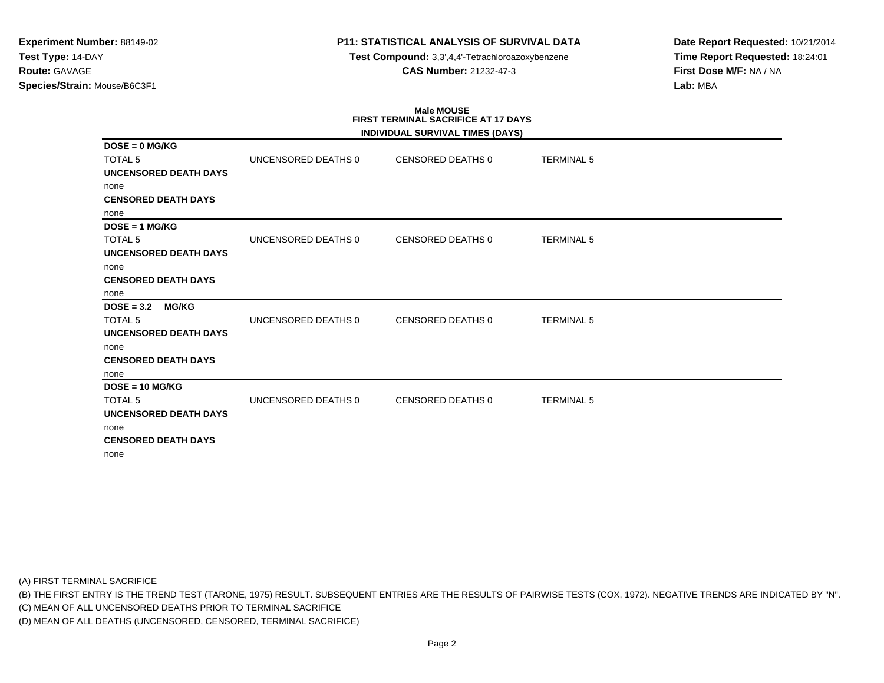## **P11: STATISTICAL ANALYSIS OF SURVIVAL DATA**

**Test Compound:** 3,3',4,4'-Tetrachloroazoxybenzene**CAS Number:** 21232-47-3

**Date Report Requested:** 10/21/2014**Time Report Requested:** 18:24:01**First Dose M/F:** NA / NA**Lab:** MBA

## **Male MOUSEFIRST TERMINAL SACRIFICE AT 17 DAYS**

|                              |                     | INDIVIDUAL SURVIVAL TIMES (DAYS) |                   |  |
|------------------------------|---------------------|----------------------------------|-------------------|--|
| $DOSE = 0$ MG/KG             |                     |                                  |                   |  |
| <b>TOTAL 5</b>               | UNCENSORED DEATHS 0 | CENSORED DEATHS 0                | <b>TERMINAL 5</b> |  |
| <b>UNCENSORED DEATH DAYS</b> |                     |                                  |                   |  |
| none                         |                     |                                  |                   |  |
| <b>CENSORED DEATH DAYS</b>   |                     |                                  |                   |  |
| none                         |                     |                                  |                   |  |
| $DOSE = 1 MG/KG$             |                     |                                  |                   |  |
| <b>TOTAL 5</b>               | UNCENSORED DEATHS 0 | <b>CENSORED DEATHS 0</b>         | <b>TERMINAL 5</b> |  |
| <b>UNCENSORED DEATH DAYS</b> |                     |                                  |                   |  |
| none                         |                     |                                  |                   |  |
| <b>CENSORED DEATH DAYS</b>   |                     |                                  |                   |  |
| none                         |                     |                                  |                   |  |
| $DOSE = 3.2$<br><b>MG/KG</b> |                     |                                  |                   |  |
| <b>TOTAL 5</b>               | UNCENSORED DEATHS 0 | <b>CENSORED DEATHS 0</b>         | <b>TERMINAL 5</b> |  |
| UNCENSORED DEATH DAYS        |                     |                                  |                   |  |
| none                         |                     |                                  |                   |  |
| <b>CENSORED DEATH DAYS</b>   |                     |                                  |                   |  |
| none                         |                     |                                  |                   |  |
| $DOSE = 10 MG/KG$            |                     |                                  |                   |  |
| <b>TOTAL 5</b>               | UNCENSORED DEATHS 0 | <b>CENSORED DEATHS 0</b>         | <b>TERMINAL 5</b> |  |
| <b>UNCENSORED DEATH DAYS</b> |                     |                                  |                   |  |
| none                         |                     |                                  |                   |  |
| <b>CENSORED DEATH DAYS</b>   |                     |                                  |                   |  |
| none                         |                     |                                  |                   |  |

(A) FIRST TERMINAL SACRIFICE

(B) THE FIRST ENTRY IS THE TREND TEST (TARONE, 1975) RESULT. SUBSEQUENT ENTRIES ARE THE RESULTS OF PAIRWISE TESTS (COX, 1972). NEGATIVE TRENDS ARE INDICATED BY "N".

(C) MEAN OF ALL UNCENSORED DEATHS PRIOR TO TERMINAL SACRIFICE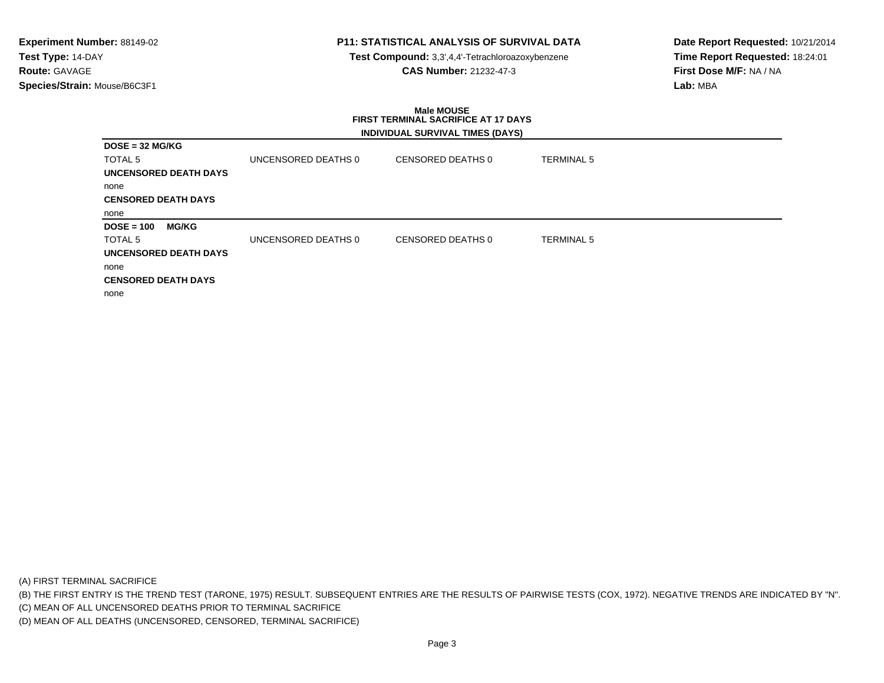## **P11: STATISTICAL ANALYSIS OF SURVIVAL DATA**

**Test Compound:** 3,3',4,4'-Tetrachloroazoxybenzene**CAS Number:** 21232-47-3

**Date Report Requested:** 10/21/2014**Time Report Requested:** 18:24:01**First Dose M/F:** NA / NA**Lab:** MBA

### **Male MOUSE FIRST TERMINAL SACRIFICE AT 17 DAYSINDIVIDUAL SURVIVAL TIMES (DAYS)**

|                            |                              |                     | <b>INDIVIDUAL CONVIVAL TIMED (DATO)</b> |                   |
|----------------------------|------------------------------|---------------------|-----------------------------------------|-------------------|
| $DOSE = 32 MGIKG$          |                              |                     |                                         |                   |
| TOTAL <sub>5</sub>         |                              | UNCENSORED DEATHS 0 | CENSORED DEATHS 0                       | <b>TERMINAL 5</b> |
|                            | <b>UNCENSORED DEATH DAYS</b> |                     |                                         |                   |
| none                       |                              |                     |                                         |                   |
| <b>CENSORED DEATH DAYS</b> |                              |                     |                                         |                   |
| none                       |                              |                     |                                         |                   |
| $DOSE = 100$               | <b>MG/KG</b>                 |                     |                                         |                   |
| TOTAL <sub>5</sub>         |                              | UNCENSORED DEATHS 0 | CENSORED DEATHS 0                       | <b>TERMINAL 5</b> |
|                            | <b>UNCENSORED DEATH DAYS</b> |                     |                                         |                   |
| none                       |                              |                     |                                         |                   |
| <b>CENSORED DEATH DAYS</b> |                              |                     |                                         |                   |
| none                       |                              |                     |                                         |                   |

(A) FIRST TERMINAL SACRIFICE

(B) THE FIRST ENTRY IS THE TREND TEST (TARONE, 1975) RESULT. SUBSEQUENT ENTRIES ARE THE RESULTS OF PAIRWISE TESTS (COX, 1972). NEGATIVE TRENDS ARE INDICATED BY "N".

(C) MEAN OF ALL UNCENSORED DEATHS PRIOR TO TERMINAL SACRIFICE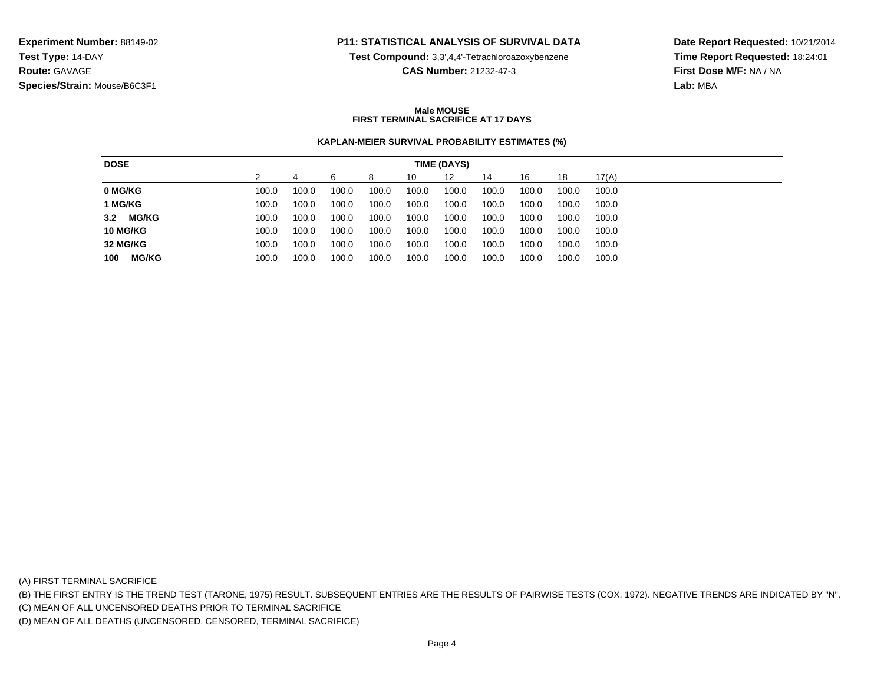### **P11: STATISTICAL ANALYSIS OF SURVIVAL DATA**

**Test Compound:** 3,3',4,4'-Tetrachloroazoxybenzene

**CAS Number:** 21232-47-3

**Date Report Requested:** 10/21/2014**Time Report Requested:** 18:24:01**First Dose M/F:** NA / NA**Lab:** MBA

### **Male MOUSEFIRST TERMINAL SACRIFICE AT 17 DAYS**

### **KAPLAN-MEIER SURVIVAL PROBABILITY ESTIMATES (%)**

| <b>DOSE</b>         |       |       |       |       |       | TIME (DAYS) |       |       |       |       |
|---------------------|-------|-------|-------|-------|-------|-------------|-------|-------|-------|-------|
|                     |       |       | ิค    | 8     | 10    | 12          | 14    | 16    | 18    | 17(A) |
| 0 MG/KG             | 100.0 | 100.0 | 100.0 | 100.0 | 100.0 | 100.0       | 100.0 | 100.0 | 100.0 | 100.0 |
| 1 MG/KG             | 100.0 | 100.0 | 100.0 | 100.0 | 100.0 | 100.0       | 100.0 | 100.0 | 100.0 | 100.0 |
| <b>MG/KG</b><br>3.2 | 100.0 | 100.0 | 100.0 | 100.0 | 100.0 | 100.0       | 100.0 | 100.0 | 100.0 | 100.0 |
| <b>10 MG/KG</b>     | 100.0 | 100.0 | 100.0 | 100.0 | 100.0 | 100.0       | 100.0 | 100.0 | 100.0 | 100.0 |
| 32 MG/KG            | 100.0 | 100.0 | 100.0 | 100.0 | 100.0 | 100.0       | 100.0 | 100.0 | 100.0 | 100.0 |
| <b>MG/KG</b><br>100 | 100.0 | 100.0 | 100.0 | 100.0 | 100.0 | 100.0       | 100.0 | 100.0 | 100.0 | 100.0 |

(A) FIRST TERMINAL SACRIFICE

(B) THE FIRST ENTRY IS THE TREND TEST (TARONE, 1975) RESULT. SUBSEQUENT ENTRIES ARE THE RESULTS OF PAIRWISE TESTS (COX, 1972). NEGATIVE TRENDS ARE INDICATED BY "N".

(C) MEAN OF ALL UNCENSORED DEATHS PRIOR TO TERMINAL SACRIFICE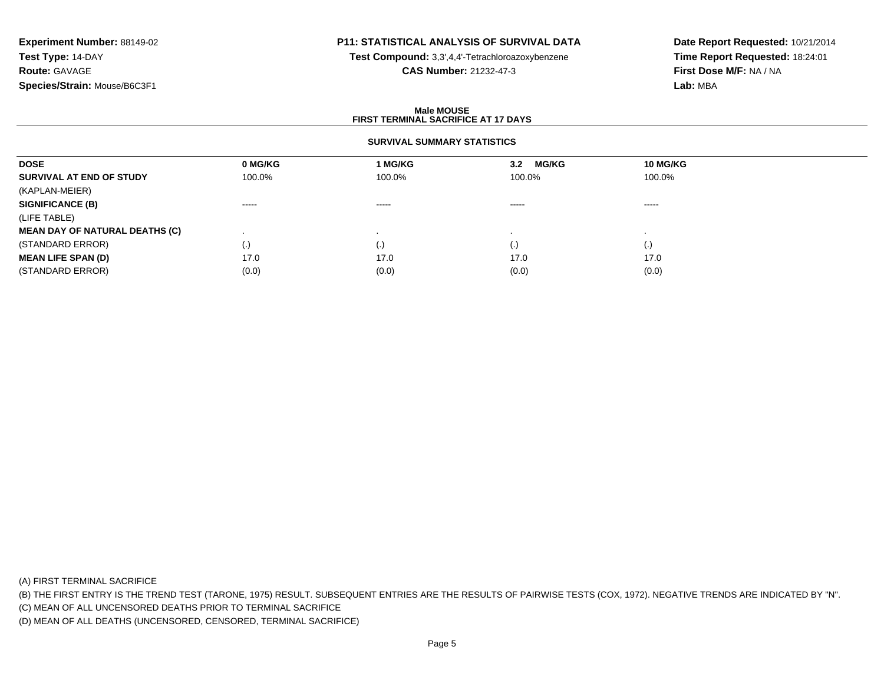## **P11: STATISTICAL ANALYSIS OF SURVIVAL DATA**

**Test Compound:** 3,3',4,4'-Tetrachloroazoxybenzene

**CAS Number:** 21232-47-3

**Date Report Requested:** 10/21/2014**Time Report Requested:** 18:24:01**First Dose M/F:** NA / NA**Lab:** MBA

### **Male MOUSEFIRST TERMINAL SACRIFICE AT 17 DAYS**

### **SURVIVAL SUMMARY STATISTICS**

| <b>DOSE</b>                           | 0 MG/KG  | 1 MG/KG | <b>MG/KG</b><br>3.2 | <b>10 MG/KG</b>    |  |
|---------------------------------------|----------|---------|---------------------|--------------------|--|
| SURVIVAL AT END OF STUDY              | 100.0%   | 100.0%  | 100.0%              | 100.0%             |  |
| (KAPLAN-MEIER)                        |          |         |                     |                    |  |
| <b>SIGNIFICANCE (B)</b>               | $\cdots$ | -----   | $\cdots$            | ------             |  |
| (LIFE TABLE)                          |          |         |                     |                    |  |
| <b>MEAN DAY OF NATURAL DEATHS (C)</b> |          |         |                     |                    |  |
| (STANDARD ERROR)                      | (.)      |         | $\left( . \right)$  | $\left( . \right)$ |  |
| <b>MEAN LIFE SPAN (D)</b>             | 17.0     | 17.0    | 17.0                | 17.0               |  |
| (STANDARD ERROR)                      | (0.0)    | (0.0)   | (0.0)               | (0.0)              |  |

(A) FIRST TERMINAL SACRIFICE

(B) THE FIRST ENTRY IS THE TREND TEST (TARONE, 1975) RESULT. SUBSEQUENT ENTRIES ARE THE RESULTS OF PAIRWISE TESTS (COX, 1972). NEGATIVE TRENDS ARE INDICATED BY "N".

(C) MEAN OF ALL UNCENSORED DEATHS PRIOR TO TERMINAL SACRIFICE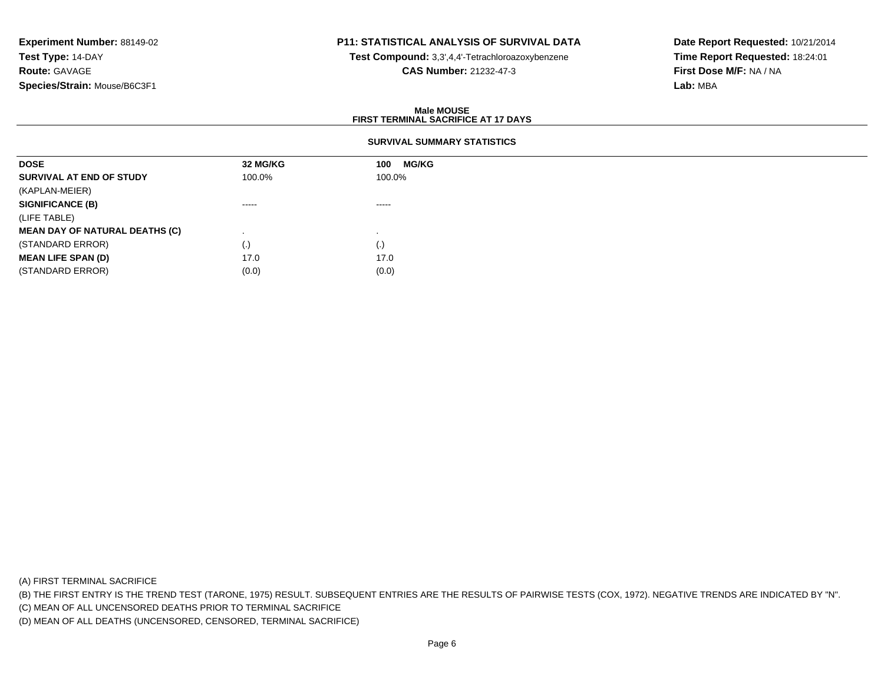## **P11: STATISTICAL ANALYSIS OF SURVIVAL DATA**

**Test Compound:** 3,3',4,4'-Tetrachloroazoxybenzene

**CAS Number:** 21232-47-3

**Date Report Requested:** 10/21/2014**Time Report Requested:** 18:24:01**First Dose M/F:** NA / NA**Lab:** MBA

### **Male MOUSEFIRST TERMINAL SACRIFICE AT 17 DAYS**

### **SURVIVAL SUMMARY STATISTICS**

| <b>DOSE</b>                           | 32 MG/KG           | <b>MG/KG</b><br>100 |
|---------------------------------------|--------------------|---------------------|
| SURVIVAL AT END OF STUDY              | 100.0%             | 100.0%              |
| (KAPLAN-MEIER)                        |                    |                     |
| <b>SIGNIFICANCE (B)</b>               | $\cdots$           | $\cdots$            |
| (LIFE TABLE)                          |                    |                     |
| <b>MEAN DAY OF NATURAL DEATHS (C)</b> |                    |                     |
| (STANDARD ERROR)                      | $\left( . \right)$ | (.)                 |
| <b>MEAN LIFE SPAN (D)</b>             | 17.0               | 17.0                |
| (STANDARD ERROR)                      | (0.0)              | (0.0)               |

(A) FIRST TERMINAL SACRIFICE

(B) THE FIRST ENTRY IS THE TREND TEST (TARONE, 1975) RESULT. SUBSEQUENT ENTRIES ARE THE RESULTS OF PAIRWISE TESTS (COX, 1972). NEGATIVE TRENDS ARE INDICATED BY "N".

(C) MEAN OF ALL UNCENSORED DEATHS PRIOR TO TERMINAL SACRIFICE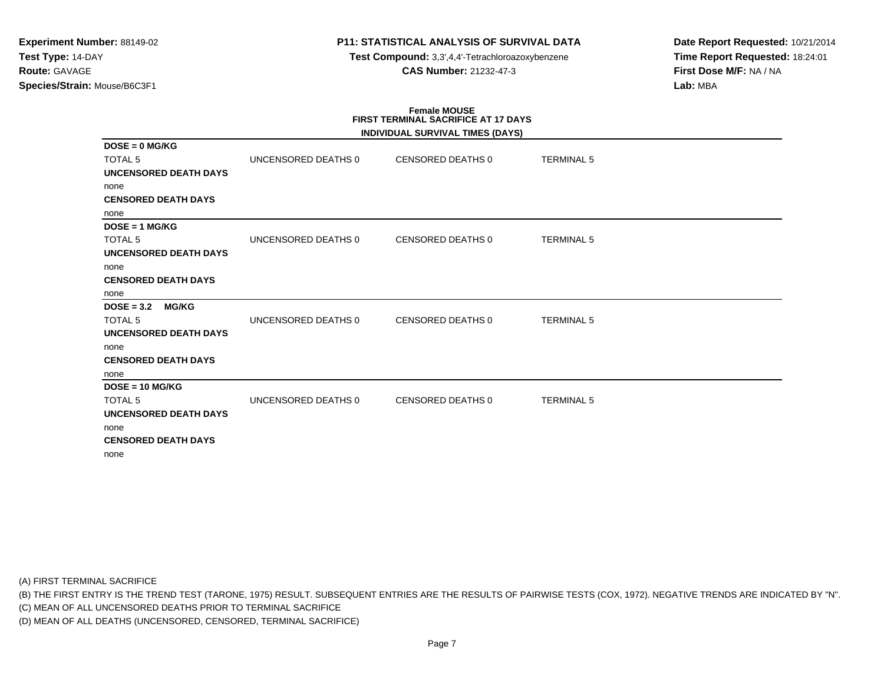## **P11: STATISTICAL ANALYSIS OF SURVIVAL DATA**

**Test Compound:** 3,3',4,4'-Tetrachloroazoxybenzene**CAS Number:** 21232-47-3

**Date Report Requested:** 10/21/2014**Time Report Requested:** 18:24:01**First Dose M/F:** NA / NA**Lab:** MBA

# **Female MOUSE FIRST TERMINAL SACRIFICE AT 17 DAYS**

|                              |                     | INDIVIDUAL SURVIVAL TIMES (DAYS) |                   |  |
|------------------------------|---------------------|----------------------------------|-------------------|--|
| $DOSE = 0$ MG/KG             |                     |                                  |                   |  |
| <b>TOTAL 5</b>               | UNCENSORED DEATHS 0 | CENSORED DEATHS 0                | <b>TERMINAL 5</b> |  |
| <b>UNCENSORED DEATH DAYS</b> |                     |                                  |                   |  |
| none                         |                     |                                  |                   |  |
| <b>CENSORED DEATH DAYS</b>   |                     |                                  |                   |  |
| none                         |                     |                                  |                   |  |
| $DOSE = 1 MG/KG$             |                     |                                  |                   |  |
| <b>TOTAL 5</b>               | UNCENSORED DEATHS 0 | <b>CENSORED DEATHS 0</b>         | <b>TERMINAL 5</b> |  |
| <b>UNCENSORED DEATH DAYS</b> |                     |                                  |                   |  |
| none                         |                     |                                  |                   |  |
| <b>CENSORED DEATH DAYS</b>   |                     |                                  |                   |  |
| none                         |                     |                                  |                   |  |
| $DOSE = 3.2$<br><b>MG/KG</b> |                     |                                  |                   |  |
| <b>TOTAL 5</b>               | UNCENSORED DEATHS 0 | <b>CENSORED DEATHS 0</b>         | <b>TERMINAL 5</b> |  |
| <b>UNCENSORED DEATH DAYS</b> |                     |                                  |                   |  |
| none                         |                     |                                  |                   |  |
| <b>CENSORED DEATH DAYS</b>   |                     |                                  |                   |  |
| none                         |                     |                                  |                   |  |
| $DOSE = 10 MGIKG$            |                     |                                  |                   |  |
| TOTAL <sub>5</sub>           | UNCENSORED DEATHS 0 | <b>CENSORED DEATHS 0</b>         | <b>TERMINAL 5</b> |  |
| <b>UNCENSORED DEATH DAYS</b> |                     |                                  |                   |  |
| none                         |                     |                                  |                   |  |
| <b>CENSORED DEATH DAYS</b>   |                     |                                  |                   |  |
| none                         |                     |                                  |                   |  |

(A) FIRST TERMINAL SACRIFICE

(B) THE FIRST ENTRY IS THE TREND TEST (TARONE, 1975) RESULT. SUBSEQUENT ENTRIES ARE THE RESULTS OF PAIRWISE TESTS (COX, 1972). NEGATIVE TRENDS ARE INDICATED BY "N".

(C) MEAN OF ALL UNCENSORED DEATHS PRIOR TO TERMINAL SACRIFICE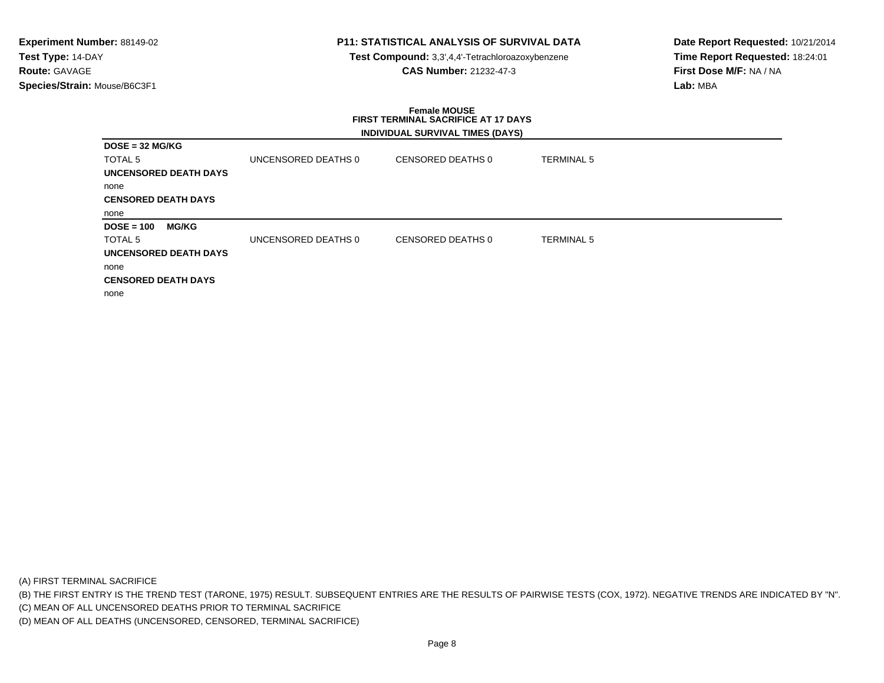## **P11: STATISTICAL ANALYSIS OF SURVIVAL DATA**

**Test Compound:** 3,3',4,4'-Tetrachloroazoxybenzene**CAS Number:** 21232-47-3

**Date Report Requested:** 10/21/2014**Time Report Requested:** 18:24:01**First Dose M/F:** NA / NA**Lab:** MBA

### **Female MOUSE FIRST TERMINAL SACRIFICE AT 17 DAYSINDIVIDUAL SURVIVAL TIMES (DAYS)**

|                              |              |                     | 111211122722211117721111122121121 |                   |
|------------------------------|--------------|---------------------|-----------------------------------|-------------------|
| $DOSE = 32 MG/KG$            |              |                     |                                   |                   |
| TOTAL <sub>5</sub>           |              | UNCENSORED DEATHS 0 | CENSORED DEATHS 0                 | <b>TERMINAL 5</b> |
| UNCENSORED DEATH DAYS        |              |                     |                                   |                   |
| none                         |              |                     |                                   |                   |
| <b>CENSORED DEATH DAYS</b>   |              |                     |                                   |                   |
| none                         |              |                     |                                   |                   |
| $DOSE = 100$                 | <b>MG/KG</b> |                     |                                   |                   |
| TOTAL <sub>5</sub>           |              | UNCENSORED DEATHS 0 | CENSORED DEATHS 0                 | <b>TERMINAL 5</b> |
| <b>UNCENSORED DEATH DAYS</b> |              |                     |                                   |                   |
| none                         |              |                     |                                   |                   |
| <b>CENSORED DEATH DAYS</b>   |              |                     |                                   |                   |
| none                         |              |                     |                                   |                   |

(A) FIRST TERMINAL SACRIFICE

(B) THE FIRST ENTRY IS THE TREND TEST (TARONE, 1975) RESULT. SUBSEQUENT ENTRIES ARE THE RESULTS OF PAIRWISE TESTS (COX, 1972). NEGATIVE TRENDS ARE INDICATED BY "N".

(C) MEAN OF ALL UNCENSORED DEATHS PRIOR TO TERMINAL SACRIFICE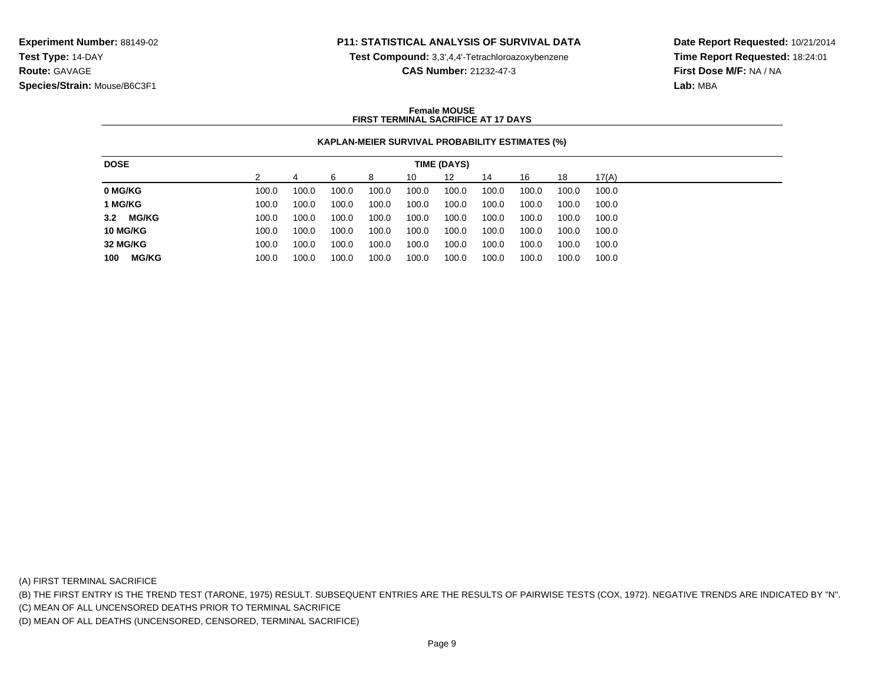### **P11: STATISTICAL ANALYSIS OF SURVIVAL DATA**

**Test Compound:** 3,3',4,4'-Tetrachloroazoxybenzene

**CAS Number:** 21232-47-3

**Date Report Requested:** 10/21/2014**Time Report Requested:** 18:24:01**First Dose M/F:** NA / NA**Lab:** MBA

### **Female MOUSEFIRST TERMINAL SACRIFICE AT 17 DAYS**

### **KAPLAN-MEIER SURVIVAL PROBABILITY ESTIMATES (%)**

| <b>DOSE</b>         |       |       |       |       |       | TIME (DAYS) |       |       |       |       |
|---------------------|-------|-------|-------|-------|-------|-------------|-------|-------|-------|-------|
|                     |       |       | ิค    | 8     | 10    | 12          | 14    | 16    | 18    | 17(A) |
| 0 MG/KG             | 100.0 | 100.0 | 100.0 | 100.0 | 100.0 | 100.0       | 100.0 | 100.0 | 100.0 | 100.0 |
| 1 MG/KG             | 100.0 | 100.0 | 100.0 | 100.0 | 100.0 | 100.0       | 100.0 | 100.0 | 100.0 | 100.0 |
| <b>MG/KG</b><br>3.2 | 100.0 | 100.0 | 100.0 | 100.0 | 100.0 | 100.0       | 100.0 | 100.0 | 100.0 | 100.0 |
| <b>10 MG/KG</b>     | 100.0 | 100.0 | 100.0 | 100.0 | 100.0 | 100.0       | 100.0 | 100.0 | 100.0 | 100.0 |
| 32 MG/KG            | 100.0 | 100.0 | 100.0 | 100.0 | 100.0 | 100.0       | 100.0 | 100.0 | 100.0 | 100.0 |
| <b>MG/KG</b><br>100 | 100.0 | 100.0 | 100.0 | 100.0 | 100.0 | 100.0       | 100.0 | 100.0 | 100.0 | 100.0 |

(A) FIRST TERMINAL SACRIFICE

(B) THE FIRST ENTRY IS THE TREND TEST (TARONE, 1975) RESULT. SUBSEQUENT ENTRIES ARE THE RESULTS OF PAIRWISE TESTS (COX, 1972). NEGATIVE TRENDS ARE INDICATED BY "N".

(C) MEAN OF ALL UNCENSORED DEATHS PRIOR TO TERMINAL SACRIFICE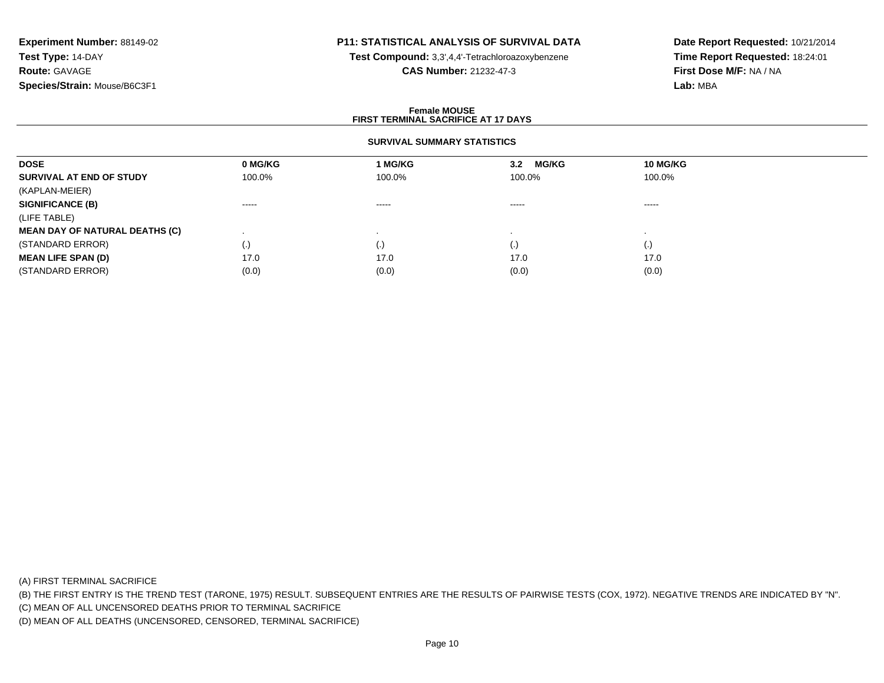## **P11: STATISTICAL ANALYSIS OF SURVIVAL DATA**

**Test Compound:** 3,3',4,4'-Tetrachloroazoxybenzene

**CAS Number:** 21232-47-3

**Date Report Requested:** 10/21/2014**Time Report Requested:** 18:24:01**First Dose M/F:** NA / NA**Lab:** MBA

### **Female MOUSEFIRST TERMINAL SACRIFICE AT 17 DAYS**

### **SURVIVAL SUMMARY STATISTICS**

| <b>DOSE</b>                           | 0 MG/KG | 1 MG/KG   | <b>MG/KG</b><br>3.2 | 10 MG/KG           |  |
|---------------------------------------|---------|-----------|---------------------|--------------------|--|
| SURVIVAL AT END OF STUDY              | 100.0%  | 100.0%    | 100.0%              | 100.0%             |  |
| (KAPLAN-MEIER)                        |         |           |                     |                    |  |
| <b>SIGNIFICANCE (B)</b>               | ------  | ------    | $\cdots$            | -----              |  |
| (LIFE TABLE)                          |         |           |                     |                    |  |
| <b>MEAN DAY OF NATURAL DEATHS (C)</b> |         |           |                     |                    |  |
| (STANDARD ERROR)                      | (.)     | $\cdot$ , | $\left( . \right)$  | $\left( . \right)$ |  |
| <b>MEAN LIFE SPAN (D)</b>             | 17.0    | 17.0      | 17.0                | 17.0               |  |
| (STANDARD ERROR)                      | (0.0)   | (0.0)     | (0.0)               | (0.0)              |  |

(A) FIRST TERMINAL SACRIFICE

(B) THE FIRST ENTRY IS THE TREND TEST (TARONE, 1975) RESULT. SUBSEQUENT ENTRIES ARE THE RESULTS OF PAIRWISE TESTS (COX, 1972). NEGATIVE TRENDS ARE INDICATED BY "N".

(C) MEAN OF ALL UNCENSORED DEATHS PRIOR TO TERMINAL SACRIFICE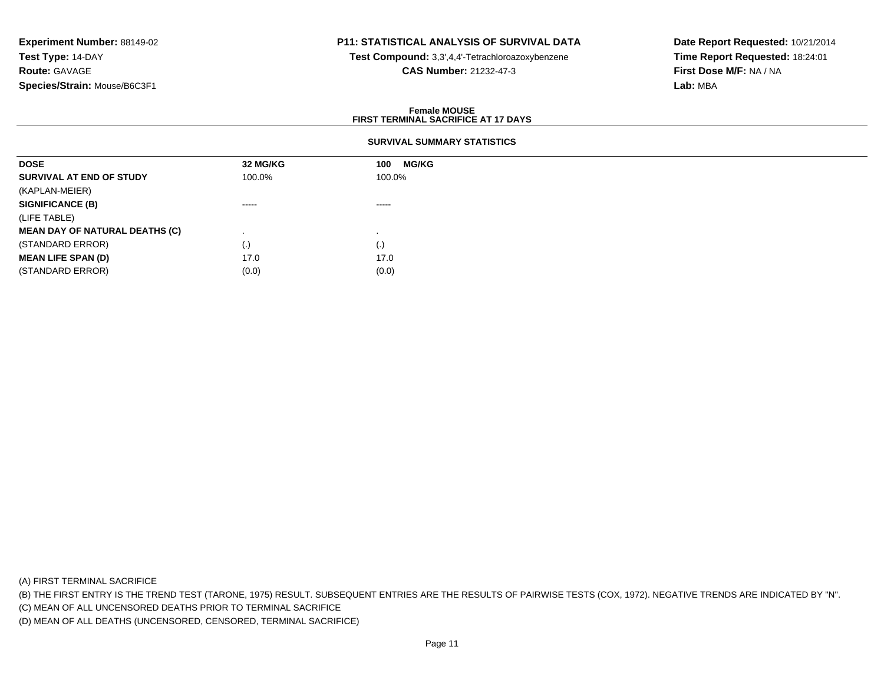## **P11: STATISTICAL ANALYSIS OF SURVIVAL DATA**

**Test Compound:** 3,3',4,4'-Tetrachloroazoxybenzene

**CAS Number:** 21232-47-3

**Date Report Requested:** 10/21/2014**Time Report Requested:** 18:24:01**First Dose M/F:** NA / NA**Lab:** MBA

### **Female MOUSEFIRST TERMINAL SACRIFICE AT 17 DAYS**

### **SURVIVAL SUMMARY STATISTICS**

| 32 MG/KG | <b>MG/KG</b><br>100 |
|----------|---------------------|
| 100.0%   | 100.0%              |
|          |                     |
| $\cdots$ | -----               |
|          |                     |
|          |                     |
| (.)      | (.)                 |
| 17.0     | 17.0                |
| (0.0)    | (0.0)               |
|          |                     |

(A) FIRST TERMINAL SACRIFICE

(B) THE FIRST ENTRY IS THE TREND TEST (TARONE, 1975) RESULT. SUBSEQUENT ENTRIES ARE THE RESULTS OF PAIRWISE TESTS (COX, 1972). NEGATIVE TRENDS ARE INDICATED BY "N".

(C) MEAN OF ALL UNCENSORED DEATHS PRIOR TO TERMINAL SACRIFICE